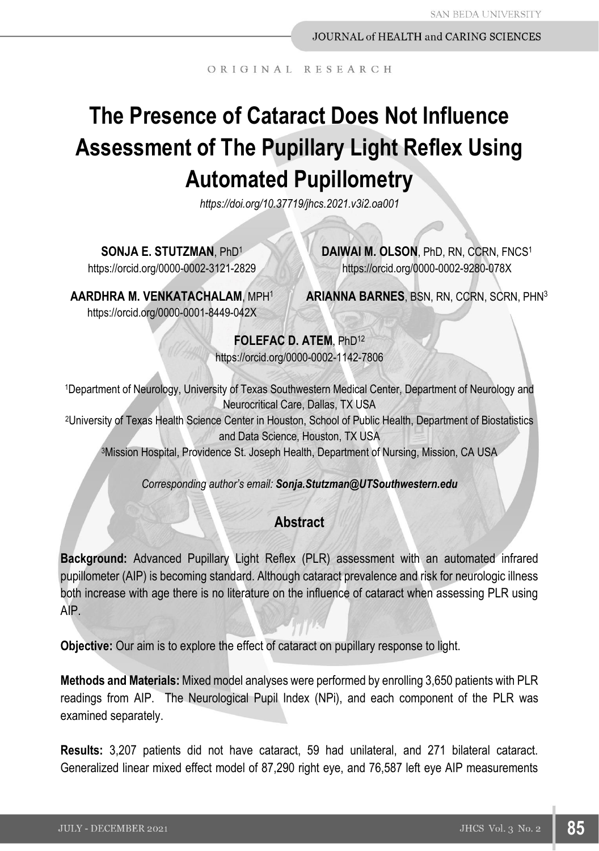ORIGINAL RESEARCH

# **The Presence of Cataract Does Not Influence Assessment of The Pupillary Light Reflex Using Automated Pupillometry**

*https://doi.org/10.37719/jhcs.2021.v3i2.oa001*

**SONJA E. STUTZMAN**, PhD<sup>1</sup>

https://orcid.org/0000-0002-3121-2829

**DAIWAI M. OLSON**, PhD, RN, CCRN, FNCS<sup>1</sup> https://orcid.org/0000-0002-9280-078X

**AARDHRA M. VENKATACHALAM**, MPH<sup>1</sup> https://orcid.org/0000-0001-8449-042X

**ARIANNA BARNES**, BSN, RN, CCRN, SCRN, PHN<sup>3</sup>

**FOLEFAC D. ATEM**, PhD<sup>12</sup> https://orcid.org/0000-0002-1142-7806

<sup>1</sup>Department of Neurology, University of Texas Southwestern Medical Center, Department of Neurology and Neurocritical Care, Dallas, TX USA

<sup>2</sup>University of Texas Health Science Center in Houston, School of Public Health, Department of Biostatistics and Data Science, Houston, TX USA

<sup>3</sup>Mission Hospital, Providence St. Joseph Health, Department of Nursing, Mission, CA USA

*Corresponding author's email: Sonja.Stutzman@UTSouthwestern.edu*

# **Abstract**

**Background:** Advanced Pupillary Light Reflex (PLR) assessment with an automated infrared pupillometer (AIP) is becoming standard. Although cataract prevalence and risk for neurologic illness both increase with age there is no literature on the influence of cataract when assessing PLR using AIP.

**Objective:** Our aim is to explore the effect of cataract on pupillary response to light.

**Methods and Materials:** Mixed model analyses were performed by enrolling 3,650 patients with PLR readings from AIP. The Neurological Pupil Index (NPi), and each component of the PLR was examined separately.

**Results:** 3,207 patients did not have cataract, 59 had unilateral, and 271 bilateral cataract. Generalized linear mixed effect model of 87,290 right eye, and 76,587 left eye AIP measurements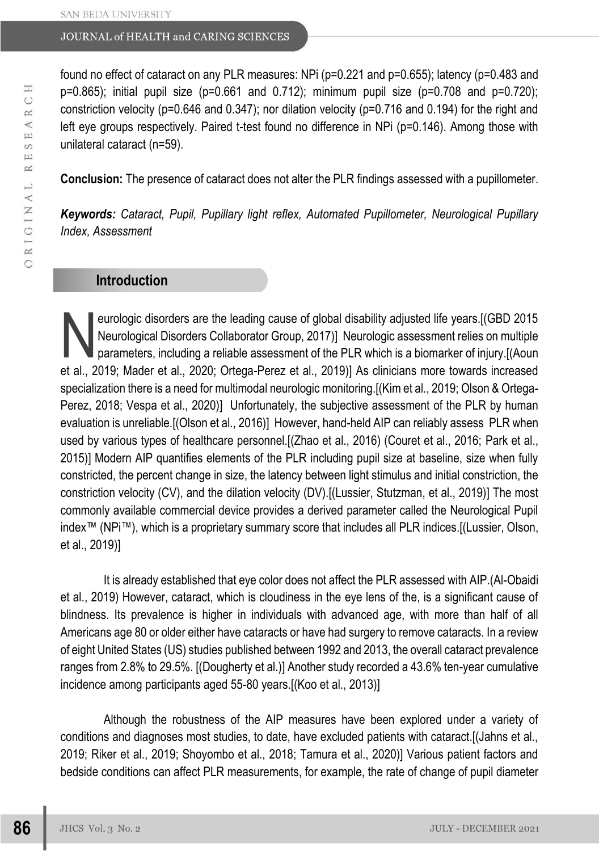found no effect of cataract on any PLR measures: NPi (p=0.221 and p=0.655); latency (p=0.483 and  $p=0.865$ ); initial pupil size ( $p=0.661$  and  $0.712$ ); minimum pupil size ( $p=0.708$  and  $p=0.720$ ); constriction velocity (p=0.646 and 0.347); nor dilation velocity (p=0.716 and 0.194) for the right and left eye groups respectively. Paired t-test found no difference in NPi (p=0.146). Among those with unilateral cataract (n=59).

**Conclusion:** The presence of cataract does not alter the PLR findings assessed with a pupillometer.

*Keywords: Cataract, Pupil, Pupillary light reflex, Automated Pupillometer, Neurological Pupillary Index, Assessment*

## **Introduction**

eurologic disorders are the leading cause of global disability adjusted life years.[(GBD 2015 Neurological Disorders Collaborator Group, 2017)] Neurologic assessment relies on multiple parameters, including a reliable assessment of the PLR which is a biomarker of injury.[(Aoun et al., 2019; Mader et al., 2020; Ortega-Perez et al., 2019)] As clinicians more towards increased specialization there is a need for multimodal neurologic monitoring.[(Kim et al., 2019; Olson & Ortega-Perez, 2018; Vespa et al., 2020)] Unfortunately, the subjective assessment of the PLR by human evaluation is unreliable.[(Olson et al., 2016)] However, hand-held AIP can reliably assess PLR when used by various types of healthcare personnel.[(Zhao et al., 2016) (Couret et al., 2016; Park et al., 2015)] Modern AIP quantifies elements of the PLR including pupil size at baseline, size when fully constricted, the percent change in size, the latency between light stimulus and initial constriction, the constriction velocity (CV), and the dilation velocity (DV).[(Lussier, Stutzman, et al., 2019)] The most commonly available commercial device provides a derived parameter called the Neurological Pupil index™ (NPi™), which is a proprietary summary score that includes all PLR indices.[(Lussier, Olson, et al., 2019)] N

It is already established that eye color does not affect the PLR assessed with AIP.(Al-Obaidi et al., 2019) However, cataract, which is cloudiness in the eye lens of the, is a significant cause of blindness. Its prevalence is higher in individuals with advanced age, with more than half of all Americans age 80 or older either have cataracts or have had surgery to remove cataracts. In a review of eight United States (US) studies published between 1992 and 2013, the overall cataract prevalence ranges from 2.8% to 29.5%. [(Dougherty et al.)] Another study recorded a 43.6% ten-year cumulative incidence among participants aged 55-80 years.[(Koo et al., 2013)]

Although the robustness of the AIP measures have been explored under a variety of conditions and diagnoses most studies, to date, have excluded patients with cataract.[(Jahns et al., 2019; Riker et al., 2019; Shoyombo et al., 2018; Tamura et al., 2020)] Various patient factors and bedside conditions can affect PLR measurements, for example, the rate of change of pupil diameter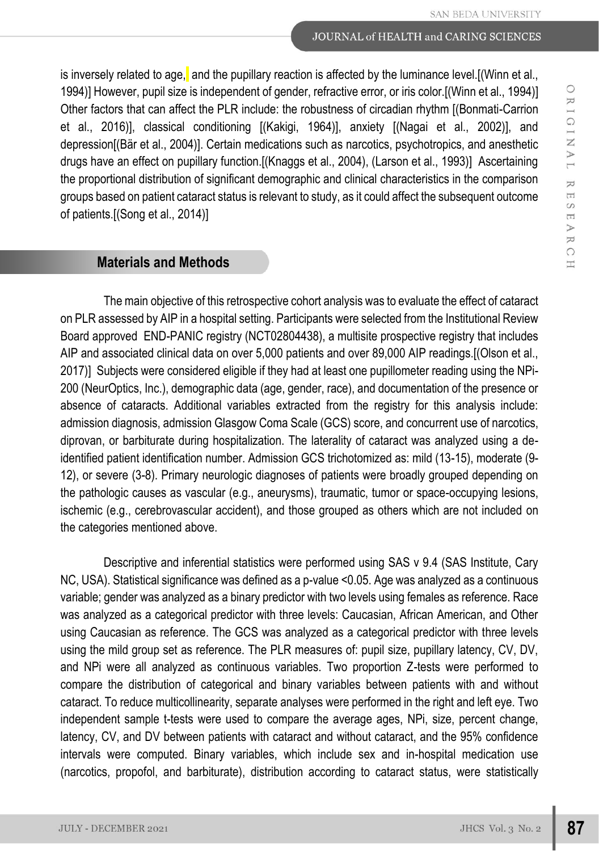is inversely related to age, and the pupillary reaction is affected by the luminance level. [(Winn et al., 1994)] However, pupil size is independent of gender, refractive error, or iris color.[(Winn et al., 1994)] Other factors that can affect the PLR include: the robustness of circadian rhythm [(Bonmati-Carrion et al., 2016)], classical conditioning [(Kakigi, 1964)], anxiety [(Nagai et al., 2002)], and depression[(Bär et al., 2004)]. Certain medications such as narcotics, psychotropics, and anesthetic drugs have an effect on pupillary function.[(Knaggs et al., 2004), (Larson et al., 1993)] Ascertaining the proportional distribution of significant demographic and clinical characteristics in the comparison groups based on patient cataract status is relevant to study, as it could affect the subsequent outcome of patients.[(Song et al., 2014)]

## **Materials and Methods**

The main objective of this retrospective cohort analysis was to evaluate the effect of cataract on PLR assessed by AIP in a hospital setting. Participants were selected from the Institutional Review Board approved END-PANIC registry (NCT02804438), a multisite prospective registry that includes AIP and associated clinical data on over 5,000 patients and over 89,000 AIP readings.[(Olson et al., 2017)] Subjects were considered eligible if they had at least one pupillometer reading using the NPi-200 (NeurOptics, Inc.), demographic data (age, gender, race), and documentation of the presence or absence of cataracts. Additional variables extracted from the registry for this analysis include: admission diagnosis, admission Glasgow Coma Scale (GCS) score, and concurrent use of narcotics, diprovan, or barbiturate during hospitalization. The laterality of cataract was analyzed using a deidentified patient identification number. Admission GCS trichotomized as: mild (13-15), moderate (9- 12), or severe (3-8). Primary neurologic diagnoses of patients were broadly grouped depending on the pathologic causes as vascular (e.g., aneurysms), traumatic, tumor or space-occupying lesions, ischemic (e.g., cerebrovascular accident), and those grouped as others which are not included on the categories mentioned above.

Descriptive and inferential statistics were performed using SAS v 9.4 (SAS Institute, Cary NC, USA). Statistical significance was defined as a p-value <0.05. Age was analyzed as a continuous variable; gender was analyzed as a binary predictor with two levels using females as reference. Race was analyzed as a categorical predictor with three levels: Caucasian, African American, and Other using Caucasian as reference. The GCS was analyzed as a categorical predictor with three levels using the mild group set as reference. The PLR measures of: pupil size, pupillary latency, CV, DV, and NPi were all analyzed as continuous variables. Two proportion Z-tests were performed to compare the distribution of categorical and binary variables between patients with and without cataract. To reduce multicollinearity, separate analyses were performed in the right and left eye. Two independent sample t-tests were used to compare the average ages, NPi, size, percent change, latency, CV, and DV between patients with cataract and without cataract, and the 95% confidence intervals were computed. Binary variables, which include sex and in-hospital medication use (narcotics, propofol, and barbiturate), distribution according to cataract status, were statistically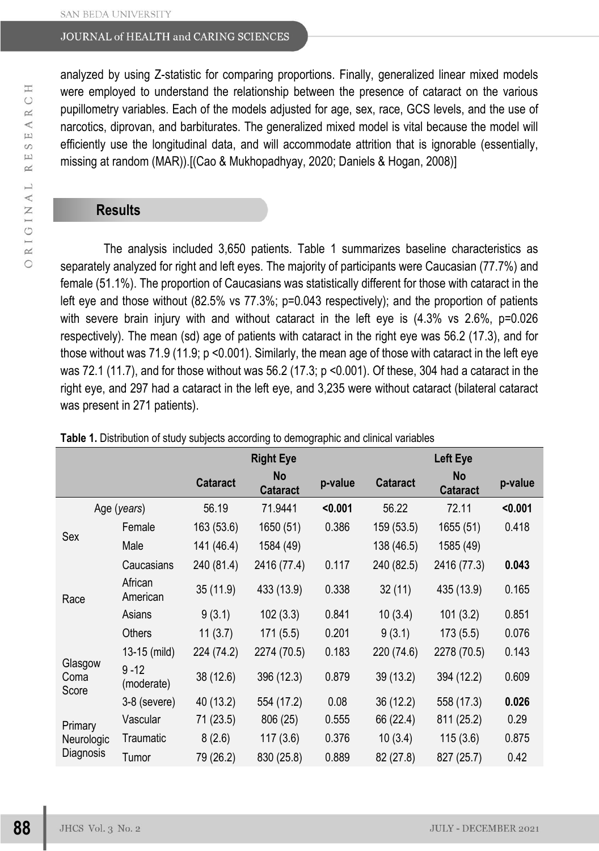analyzed by using Z-statistic for comparing proportions. Finally, generalized linear mixed models were employed to understand the relationship between the presence of cataract on the various pupillometry variables. Each of the models adjusted for age, sex, race, GCS levels, and the use of narcotics, diprovan, and barbiturates. The generalized mixed model is vital because the model will efficiently use the longitudinal data, and will accommodate attrition that is ignorable (essentially, missing at random (MAR)).[(Cao & Mukhopadhyay, 2020; Daniels & Hogan, 2008)]

### **Results**

The analysis included 3,650 patients. Table 1 summarizes baseline characteristics as separately analyzed for right and left eyes. The majority of participants were Caucasian (77.7%) and female (51.1%). The proportion of Caucasians was statistically different for those with cataract in the left eye and those without (82.5% vs 77.3%; p=0.043 respectively); and the proportion of patients with severe brain injury with and without cataract in the left eye is (4.3% vs 2.6%, p=0.026 respectively). The mean (sd) age of patients with cataract in the right eye was 56.2 (17.3), and for those without was  $71.9$  (11.9; p <0.001). Similarly, the mean age of those with cataract in the left eye was 72.1 (11.7), and for those without was 56.2 (17.3; p <0.001). Of these, 304 had a cataract in the right eye, and 297 had a cataract in the left eye, and 3,235 were without cataract (bilateral cataract was present in 271 patients).

|                                    |                        | <b>Right Eye</b> |                       |         | Left Eye        |                       |         |  |
|------------------------------------|------------------------|------------------|-----------------------|---------|-----------------|-----------------------|---------|--|
|                                    |                        | <b>Cataract</b>  | No<br><b>Cataract</b> | p-value | <b>Cataract</b> | No<br><b>Cataract</b> | p-value |  |
| Age (years)                        |                        | 56.19            | 71.9441               | < 0.001 | 56.22           | 72.11                 | $0.001$ |  |
|                                    | Female                 | 163 (53.6)       | 1650 (51)             | 0.386   | 159 (53.5)      | 1655 (51)             | 0.418   |  |
| Sex                                | Male                   | 141 (46.4)       | 1584 (49)             |         | 138 (46.5)      | 1585 (49)             |         |  |
|                                    | Caucasians             | 240 (81.4)       | 2416 (77.4)           | 0.117   | 240 (82.5)      | 2416 (77.3)           | 0.043   |  |
| Race                               | African<br>American    | 35(11.9)         | 433 (13.9)            | 0.338   | 32(11)          | 435 (13.9)            | 0.165   |  |
|                                    | Asians                 | 9(3.1)           | 102(3.3)              | 0.841   | 10(3.4)         | 101(3.2)              | 0.851   |  |
|                                    | Others                 | 11(3.7)          | 171(5.5)              | 0.201   | 9(3.1)          | 173(5.5)              | 0.076   |  |
| Glasgow<br>Coma<br>Score           | 13-15 (mild)           | 224 (74.2)       | 2274 (70.5)           | 0.183   | 220 (74.6)      | 2278 (70.5)           | 0.143   |  |
|                                    | $9 - 12$<br>(moderate) | 38 (12.6)        | 396 (12.3)            | 0.879   | 39 (13.2)       | 394 (12.2)            | 0.609   |  |
|                                    | $3-8$ (severe)         | 40 (13.2)        | 554 (17.2)            | 0.08    | 36 (12.2)       | 558 (17.3)            | 0.026   |  |
| Primary<br>Neurologic<br>Diagnosis | Vascular               | 71 (23.5)        | 806 (25)              | 0.555   | 66 (22.4)       | 811 (25.2)            | 0.29    |  |
|                                    | Traumatic              | 8(2.6)           | 117(3.6)              | 0.376   | 10(3.4)         | 115(3.6)              | 0.875   |  |
|                                    | Tumor                  | 79 (26.2)        | 830 (25.8)            | 0.889   | 82 (27.8)       | 827 (25.7)            | 0.42    |  |

**Table 1.** Distribution of study subjects according to demographic and clinical variables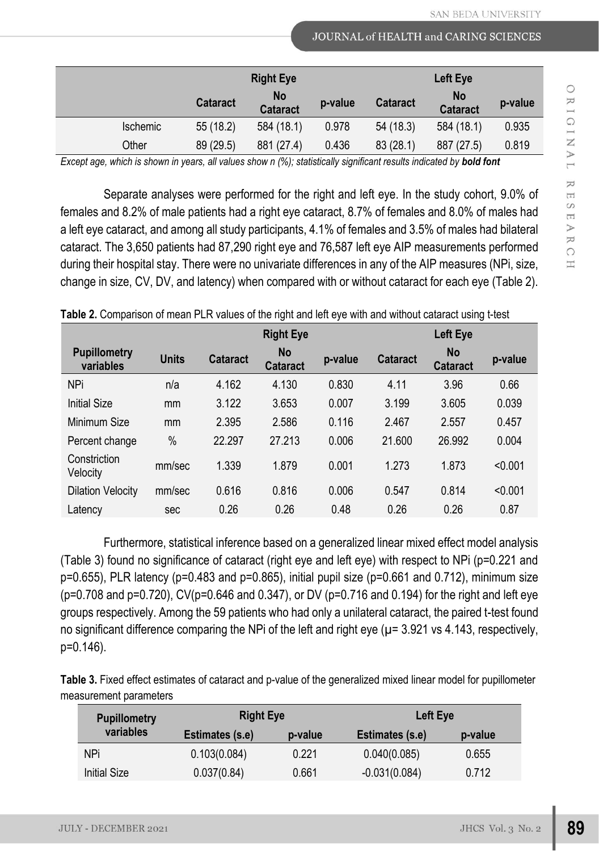|          | <b>Right Eye</b>                                |            |                            | Left Eye  |                              |         |
|----------|-------------------------------------------------|------------|----------------------------|-----------|------------------------------|---------|
|          | <b>No</b><br><b>Cataract</b><br><b>Cataract</b> |            | <b>Cataract</b><br>p-value |           | <b>No</b><br><b>Cataract</b> | p-value |
| Ischemic | 55 (18.2)                                       | 584 (18.1) | 0.978                      | 54 (18.3) | 584 (18.1)                   | 0.935   |
| Other    | 89 (29.5)                                       | 881 (27.4) | 0.436                      | 83(28.1)  | 887 (27.5)                   | 0.819   |

*Except age, which is shown in years, all values show n (%); statistically significant results indicated by bold font* 

Separate analyses were performed for the right and left eye. In the study cohort, 9.0% of females and 8.2% of male patients had a right eye cataract, 8.7% of females and 8.0% of males had a left eye cataract, and among all study participants, 4.1% of females and 3.5% of males had bilateral cataract. The 3,650 patients had 87,290 right eye and 76,587 left eye AIP measurements performed during their hospital stay. There were no univariate differences in any of the AIP measures (NPi, size, change in size, CV, DV, and latency) when compared with or without cataract for each eye (Table 2).

|                                  |              | <b>Right Eye</b> |                              |         | Left Eye        |                       |         |
|----------------------------------|--------------|------------------|------------------------------|---------|-----------------|-----------------------|---------|
| <b>Pupillometry</b><br>variables | <b>Units</b> | Cataract         | <b>No</b><br><b>Cataract</b> | p-value | <b>Cataract</b> | No<br><b>Cataract</b> | p-value |
| <b>NPi</b>                       | n/a          | 4.162            | 4.130                        | 0.830   | 4.11            | 3.96                  | 0.66    |
| <b>Initial Size</b>              | mm           | 3.122            | 3.653                        | 0.007   | 3.199           | 3.605                 | 0.039   |
| Minimum Size                     | mm           | 2.395            | 2.586                        | 0.116   | 2.467           | 2.557                 | 0.457   |
| Percent change                   | $\%$         | 22.297           | 27.213                       | 0.006   | 21.600          | 26.992                | 0.004   |
| Constriction<br>Velocity         | mm/sec       | 1.339            | 1.879                        | 0.001   | 1.273           | 1.873                 | < 0.001 |
| <b>Dilation Velocity</b>         | mm/sec       | 0.616            | 0.816                        | 0.006   | 0.547           | 0.814                 | < 0.001 |
| Latency                          | sec          | 0.26             | 0.26                         | 0.48    | 0.26            | 0.26                  | 0.87    |

**Table 2.** Comparison of mean PLR values of the right and left eye with and without cataract using t-test

Furthermore, statistical inference based on a generalized linear mixed effect model analysis (Table 3) found no significance of cataract (right eye and left eye) with respect to NPi (p=0.221 and  $p=0.655$ ), PLR latency ( $p=0.483$  and  $p=0.865$ ), initial pupil size ( $p=0.661$  and 0.712), minimum size (p=0.708 and p=0.720), CV(p=0.646 and 0.347), or DV (p=0.716 and 0.194) for the right and left eye groups respectively. Among the 59 patients who had only a unilateral cataract, the paired t-test found no significant difference comparing the NPi of the left and right eye ( $\mu$ = 3.921 vs 4.143, respectively, p=0.146).

**Table 3.** Fixed effect estimates of cataract and p-value of the generalized mixed linear model for pupillometer measurement parameters

| <b>Pupillometry</b><br>variables | <b>Right Eye</b> |         | Left Eye        |         |  |
|----------------------------------|------------------|---------|-----------------|---------|--|
|                                  | Estimates (s.e)  | p-value | Estimates (s.e) | p-value |  |
| <b>NPi</b>                       | 0.103(0.084)     | 0.221   | 0.040(0.085)    | 0.655   |  |
| <b>Initial Size</b>              | 0.037(0.84)      | 0.661   | $-0.031(0.084)$ | 0.712   |  |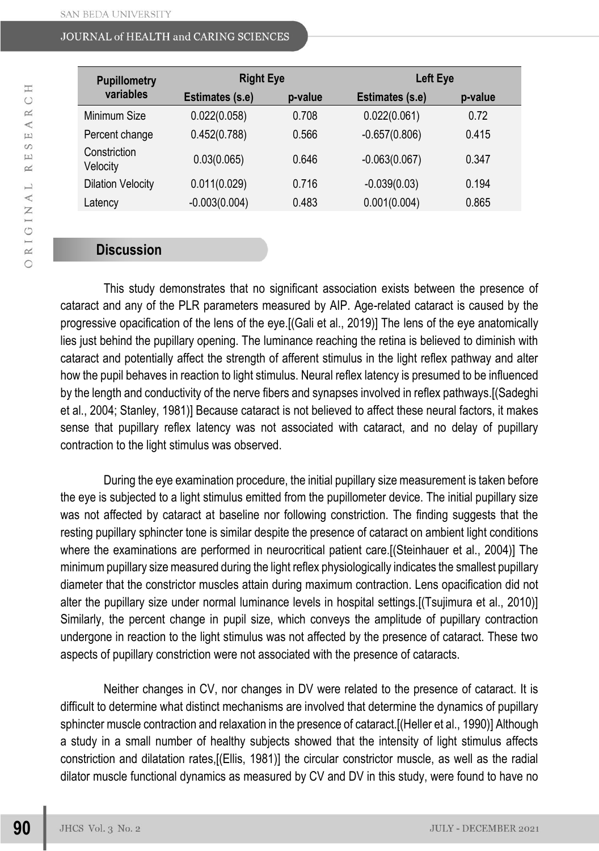| <b>Pupillometry</b>      | <b>Right Eye</b> |         | Left Eye               |         |  |
|--------------------------|------------------|---------|------------------------|---------|--|
| variables                | Estimates (s.e)  | p-value | <b>Estimates (s.e)</b> | p-value |  |
| Minimum Size             | 0.022(0.058)     | 0.708   | 0.022(0.061)           | 0.72    |  |
| Percent change           | 0.452(0.788)     | 0.566   | $-0.657(0.806)$        | 0.415   |  |
| Constriction<br>Velocity | 0.03(0.065)      | 0.646   | $-0.063(0.067)$        | 0.347   |  |
| <b>Dilation Velocity</b> | 0.011(0.029)     | 0.716   | $-0.039(0.03)$         | 0.194   |  |
| Latency                  | $-0.003(0.004)$  | 0.483   | 0.001(0.004)           | 0.865   |  |

## **Discussion**

This study demonstrates that no significant association exists between the presence of cataract and any of the PLR parameters measured by AIP. Age-related cataract is caused by the progressive opacification of the lens of the eye.[(Gali et al., 2019)] The lens of the eye anatomically lies just behind the pupillary opening. The luminance reaching the retina is believed to diminish with cataract and potentially affect the strength of afferent stimulus in the light reflex pathway and alter how the pupil behaves in reaction to light stimulus. Neural reflex latency is presumed to be influenced by the length and conductivity of the nerve fibers and synapses involved in reflex pathways.[(Sadeghi et al., 2004; Stanley, 1981)] Because cataract is not believed to affect these neural factors, it makes sense that pupillary reflex latency was not associated with cataract, and no delay of pupillary contraction to the light stimulus was observed.

During the eye examination procedure, the initial pupillary size measurement is taken before the eye is subjected to a light stimulus emitted from the pupillometer device. The initial pupillary size was not affected by cataract at baseline nor following constriction. The finding suggests that the resting pupillary sphincter tone is similar despite the presence of cataract on ambient light conditions where the examinations are performed in neurocritical patient care.[(Steinhauer et al., 2004)] The minimum pupillary size measured during the light reflex physiologically indicates the smallest pupillary diameter that the constrictor muscles attain during maximum contraction. Lens opacification did not alter the pupillary size under normal luminance levels in hospital settings.[(Tsujimura et al., 2010)] Similarly, the percent change in pupil size, which conveys the amplitude of pupillary contraction undergone in reaction to the light stimulus was not affected by the presence of cataract. These two aspects of pupillary constriction were not associated with the presence of cataracts.

Neither changes in CV, nor changes in DV were related to the presence of cataract. It is difficult to determine what distinct mechanisms are involved that determine the dynamics of pupillary sphincter muscle contraction and relaxation in the presence of cataract.[(Heller et al., 1990)] Although a study in a small number of healthy subjects showed that the intensity of light stimulus affects constriction and dilatation rates,[(Ellis, 1981)] the circular constrictor muscle, as well as the radial dilator muscle functional dynamics as measured by CV and DV in this study, were found to have no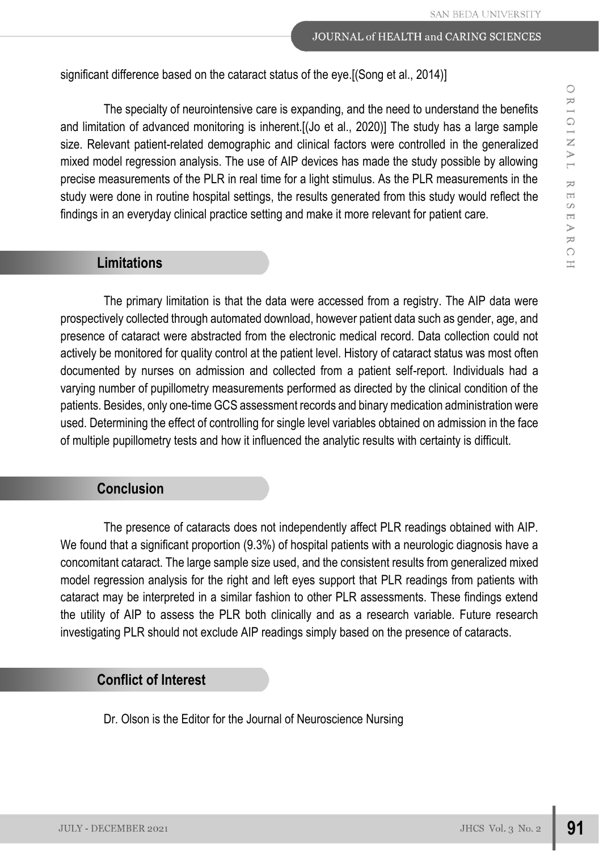significant difference based on the cataract status of the eye.[(Song et al., 2014)]

The specialty of neurointensive care is expanding, and the need to understand the benefits and limitation of advanced monitoring is inherent. [(Jo et al., 2020)] The study has a large sample size. Relevant patient-related demographic and clinical factors were controlled in the generalized mixed model regression analysis. The use of AIP devices has made the study possible by allowing precise measurements of the PLR in real time for a light stimulus. As the PLR measurements in the study were done in routine hospital settings, the results generated from this study would reflect the findings in an everyday clinical practice setting and make it more relevant for patient care.

#### **Limitations**

The primary limitation is that the data were accessed from a registry. The AIP data were prospectively collected through automated download, however patient data such as gender, age, and presence of cataract were abstracted from the electronic medical record. Data collection could not actively be monitored for quality control at the patient level. History of cataract status was most often documented by nurses on admission and collected from a patient self-report. Individuals had a varying number of pupillometry measurements performed as directed by the clinical condition of the patients. Besides, only one-time GCS assessment records and binary medication administration were used. Determining the effect of controlling for single level variables obtained on admission in the face of multiple pupillometry tests and how it influenced the analytic results with certainty is difficult.

## **Conclusion**

The presence of cataracts does not independently affect PLR readings obtained with AIP. We found that a significant proportion (9.3%) of hospital patients with a neurologic diagnosis have a concomitant cataract. The large sample size used, and the consistent results from generalized mixed model regression analysis for the right and left eyes support that PLR readings from patients with cataract may be interpreted in a similar fashion to other PLR assessments. These findings extend the utility of AIP to assess the PLR both clinically and as a research variable. Future research investigating PLR should not exclude AIP readings simply based on the presence of cataracts.

# **Conflict of Interest**

Dr. Olson is the Editor for the Journal of Neuroscience Nursing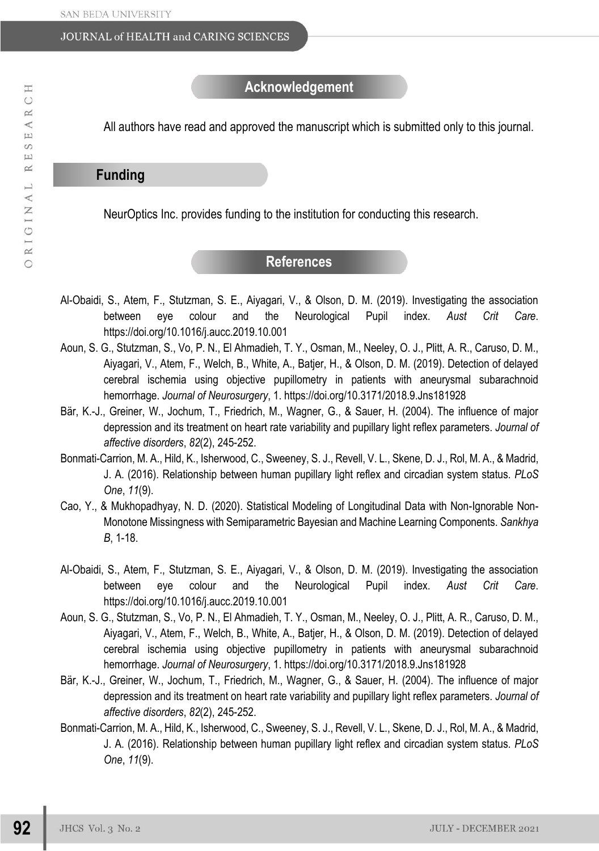All authors have read and approved the manuscript which is submitted only to this journal.

# **Funding**

NeurOptics Inc. provides funding to the institution for conducting this research.

# **References**

- Al-Obaidi, S., Atem, F., Stutzman, S. E., Aiyagari, V., & Olson, D. M. (2019). Investigating the association between eye colour and the Neurological Pupil index. *Aust Crit Care*. https://doi.org/10.1016/j.aucc.2019.10.001
- Aoun, S. G., Stutzman, S., Vo, P. N., El Ahmadieh, T. Y., Osman, M., Neeley, O. J., Plitt, A. R., Caruso, D. M., Aiyagari, V., Atem, F., Welch, B., White, A., Batjer, H., & Olson, D. M. (2019). Detection of delayed cerebral ischemia using objective pupillometry in patients with aneurysmal subarachnoid hemorrhage. *Journal of Neurosurgery*, 1. https://doi.org/10.3171/2018.9.Jns181928
- Bär, K.-J., Greiner, W., Jochum, T., Friedrich, M., Wagner, G., & Sauer, H. (2004). The influence of major depression and its treatment on heart rate variability and pupillary light reflex parameters. *Journal of affective disorders*, *82*(2), 245-252.
- Bonmati-Carrion, M. A., Hild, K., Isherwood, C., Sweeney, S. J., Revell, V. L., Skene, D. J., Rol, M. A., & Madrid, J. A. (2016). Relationship between human pupillary light reflex and circadian system status. *PLoS One*, *11*(9).
- Cao, Y., & Mukhopadhyay, N. D. (2020). Statistical Modeling of Longitudinal Data with Non-Ignorable Non-Monotone Missingness with Semiparametric Bayesian and Machine Learning Components. *Sankhya B*, 1-18.
- Al-Obaidi, S., Atem, F., Stutzman, S. E., Aiyagari, V., & Olson, D. M. (2019). Investigating the association between eye colour and the Neurological Pupil index. *Aust Crit Care*. https://doi.org/10.1016/j.aucc.2019.10.001
- Aoun, S. G., Stutzman, S., Vo, P. N., El Ahmadieh, T. Y., Osman, M., Neeley, O. J., Plitt, A. R., Caruso, D. M., Aiyagari, V., Atem, F., Welch, B., White, A., Batjer, H., & Olson, D. M. (2019). Detection of delayed cerebral ischemia using objective pupillometry in patients with aneurysmal subarachnoid hemorrhage. *Journal of Neurosurgery*, 1. https://doi.org/10.3171/2018.9.Jns181928
- Bär, K.-J., Greiner, W., Jochum, T., Friedrich, M., Wagner, G., & Sauer, H. (2004). The influence of major depression and its treatment on heart rate variability and pupillary light reflex parameters. *Journal of affective disorders*, *82*(2), 245-252.
- Bonmati-Carrion, M. A., Hild, K., Isherwood, C., Sweeney, S. J., Revell, V. L., Skene, D. J., Rol, M. A., & Madrid, J. A. (2016). Relationship between human pupillary light reflex and circadian system status. *PLoS One*, *11*(9).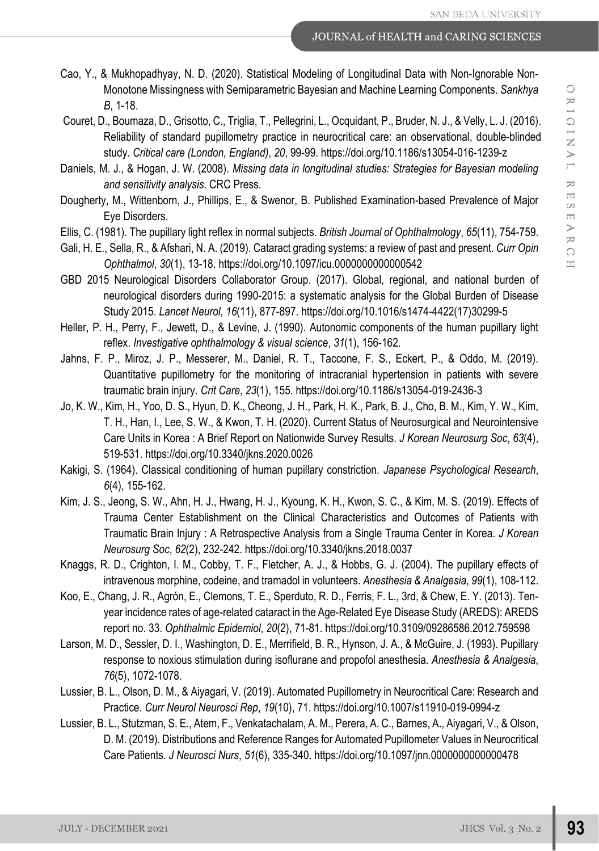- Cao, Y., & Mukhopadhyay, N. D. (2020). Statistical Modeling of Longitudinal Data with Non-Ignorable Non-Monotone Missingness with Semiparametric Bayesian and Machine Learning Components. *Sankhya B*, 1-18.
- Couret, D., Boumaza, D., Grisotto, C., Triglia, T., Pellegrini, L., Ocquidant, P., Bruder, N. J., & Velly, L. J. (2016). Reliability of standard pupillometry practice in neurocritical care: an observational, double-blinded study. *Critical care (London, England)*, *20*, 99-99. https://doi.org/10.1186/s13054-016-1239-z
- Daniels, M. J., & Hogan, J. W. (2008). *Missing data in longitudinal studies: Strategies for Bayesian modeling and sensitivity analysis*. CRC Press.
- Dougherty, M., Wittenborn, J., Phillips, E., & Swenor, B. Published Examination-based Prevalence of Major Eye Disorders.
- Ellis, C. (1981). The pupillary light reflex in normal subjects. *British Journal of Ophthalmology*, *65*(11), 754-759.
- Gali, H. E., Sella, R., & Afshari, N. A. (2019). Cataract grading systems: a review of past and present. *Curr Opin Ophthalmol*, *30*(1), 13-18. https://doi.org/10.1097/icu.0000000000000542
- GBD 2015 Neurological Disorders Collaborator Group. (2017). Global, regional, and national burden of neurological disorders during 1990-2015: a systematic analysis for the Global Burden of Disease Study 2015. *Lancet Neurol*, *16*(11), 877-897. https://doi.org/10.1016/s1474-4422(17)30299-5
- Heller, P. H., Perry, F., Jewett, D., & Levine, J. (1990). Autonomic components of the human pupillary light reflex. *Investigative ophthalmology & visual science*, *31*(1), 156-162.
- Jahns, F. P., Miroz, J. P., Messerer, M., Daniel, R. T., Taccone, F. S., Eckert, P., & Oddo, M. (2019). Quantitative pupillometry for the monitoring of intracranial hypertension in patients with severe traumatic brain injury. *Crit Care*, *23*(1), 155. https://doi.org/10.1186/s13054-019-2436-3
- Jo, K. W., Kim, H., Yoo, D. S., Hyun, D. K., Cheong, J. H., Park, H. K., Park, B. J., Cho, B. M., Kim, Y. W., Kim, T. H., Han, I., Lee, S. W., & Kwon, T. H. (2020). Current Status of Neurosurgical and Neurointensive Care Units in Korea : A Brief Report on Nationwide Survey Results. *J Korean Neurosurg Soc*, *63*(4), 519-531. https://doi.org/10.3340/jkns.2020.0026
- Kakigi, S. (1964). Classical conditioning of human pupillary constriction. *Japanese Psychological Research*, *6*(4), 155-162.
- Kim, J. S., Jeong, S. W., Ahn, H. J., Hwang, H. J., Kyoung, K. H., Kwon, S. C., & Kim, M. S. (2019). Effects of Trauma Center Establishment on the Clinical Characteristics and Outcomes of Patients with Traumatic Brain Injury : A Retrospective Analysis from a Single Trauma Center in Korea. *J Korean Neurosurg Soc*, *62*(2), 232-242. https://doi.org/10.3340/jkns.2018.0037
- Knaggs, R. D., Crighton, I. M., Cobby, T. F., Fletcher, A. J., & Hobbs, G. J. (2004). The pupillary effects of intravenous morphine, codeine, and tramadol in volunteers. *Anesthesia & Analgesia*, *99*(1), 108-112.
- Koo, E., Chang, J. R., Agrón, E., Clemons, T. E., Sperduto, R. D., Ferris, F. L., 3rd, & Chew, E. Y. (2013). Tenyear incidence rates of age-related cataract in the Age-Related Eye Disease Study (AREDS): AREDS report no. 33. *Ophthalmic Epidemiol*, *20*(2), 71-81. https://doi.org/10.3109/09286586.2012.759598
- Larson, M. D., Sessler, D. I., Washington, D. E., Merrifield, B. R., Hynson, J. A., & McGuire, J. (1993). Pupillary response to noxious stimulation during isoflurane and propofol anesthesia. *Anesthesia & Analgesia*, *76*(5), 1072-1078.
- Lussier, B. L., Olson, D. M., & Aiyagari, V. (2019). Automated Pupillometry in Neurocritical Care: Research and Practice. *Curr Neurol Neurosci Rep*, *19*(10), 71. https://doi.org/10.1007/s11910-019-0994-z
- Lussier, B. L., Stutzman, S. E., Atem, F., Venkatachalam, A. M., Perera, A. C., Barnes, A., Aiyagari, V., & Olson, D. M. (2019). Distributions and Reference Ranges for Automated Pupillometer Values in Neurocritical Care Patients. *J Neurosci Nurs*, *51*(6), 335-340. https://doi.org/10.1097/jnn.0000000000000478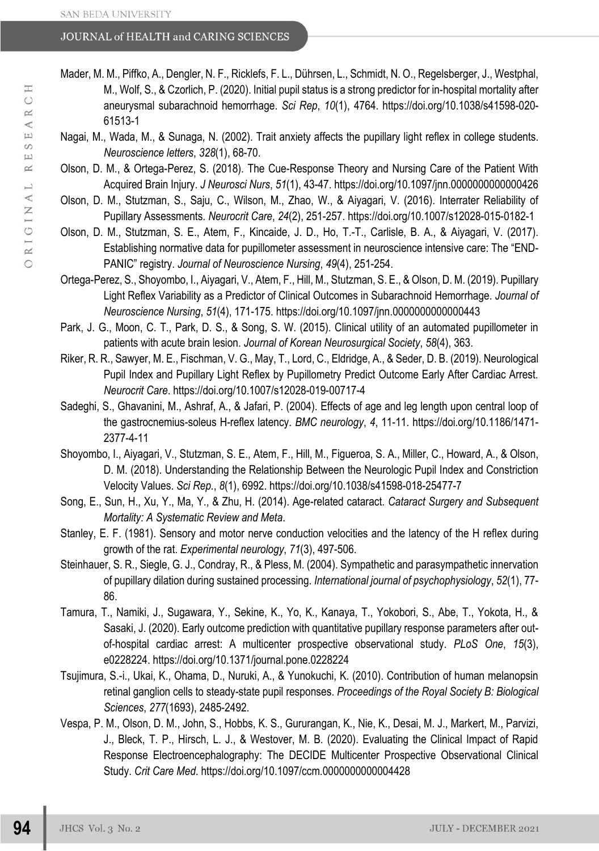- Mader, M. M., Piffko, A., Dengler, N. F., Ricklefs, F. L., Dührsen, L., Schmidt, N. O., Regelsberger, J., Westphal, M., Wolf, S., & Czorlich, P. (2020). Initial pupil status is a strong predictor for in-hospital mortality after aneurysmal subarachnoid hemorrhage. *Sci Rep*, *10*(1), 4764. https://doi.org/10.1038/s41598-020- 61513-1
- Nagai, M., Wada, M., & Sunaga, N. (2002). Trait anxiety affects the pupillary light reflex in college students. *Neuroscience letters*, *328*(1), 68-70.
- Olson, D. M., & Ortega-Perez, S. (2018). The Cue-Response Theory and Nursing Care of the Patient With Acquired Brain Injury. *J Neurosci Nurs*, *51*(1), 43-47. https://doi.org/10.1097/jnn.0000000000000426
- Olson, D. M., Stutzman, S., Saju, C., Wilson, M., Zhao, W., & Aiyagari, V. (2016). Interrater Reliability of Pupillary Assessments. *Neurocrit Care*, *24*(2), 251-257. https://doi.org/10.1007/s12028-015-0182-1
- Olson, D. M., Stutzman, S. E., Atem, F., Kincaide, J. D., Ho, T.-T., Carlisle, B. A., & Aiyagari, V. (2017). Establishing normative data for pupillometer assessment in neuroscience intensive care: The "END-PANIC" registry. *Journal of Neuroscience Nursing*, *49*(4), 251-254.
- Ortega-Perez, S., Shoyombo, I., Aiyagari, V., Atem, F., Hill, M., Stutzman, S. E., & Olson, D. M. (2019). Pupillary Light Reflex Variability as a Predictor of Clinical Outcomes in Subarachnoid Hemorrhage. *Journal of Neuroscience Nursing*, *51*(4), 171-175. https://doi.org/10.1097/jnn.0000000000000443
- Park, J. G., Moon, C. T., Park, D. S., & Song, S. W. (2015). Clinical utility of an automated pupillometer in patients with acute brain lesion. *Journal of Korean Neurosurgical Society*, *58*(4), 363.
- Riker, R. R., Sawyer, M. E., Fischman, V. G., May, T., Lord, C., Eldridge, A., & Seder, D. B. (2019). Neurological Pupil Index and Pupillary Light Reflex by Pupillometry Predict Outcome Early After Cardiac Arrest. *Neurocrit Care*. https://doi.org/10.1007/s12028-019-00717-4
- Sadeghi, S., Ghavanini, M., Ashraf, A., & Jafari, P. (2004). Effects of age and leg length upon central loop of the gastrocnemius-soleus H-reflex latency. *BMC neurology*, *4*, 11-11. https://doi.org/10.1186/1471- 2377-4-11
- Shoyombo, I., Aiyagari, V., Stutzman, S. E., Atem, F., Hill, M., Figueroa, S. A., Miller, C., Howard, A., & Olson, D. M. (2018). Understanding the Relationship Between the Neurologic Pupil Index and Constriction Velocity Values. *Sci Rep.*, *8*(1), 6992. https://doi.org/10.1038/s41598-018-25477-7
- Song, E., Sun, H., Xu, Y., Ma, Y., & Zhu, H. (2014). Age-related cataract. *Cataract Surgery and Subsequent Mortality: A Systematic Review and Meta*.
- Stanley, E. F. (1981). Sensory and motor nerve conduction velocities and the latency of the H reflex during growth of the rat. *Experimental neurology*, *71*(3), 497-506.
- Steinhauer, S. R., Siegle, G. J., Condray, R., & Pless, M. (2004). Sympathetic and parasympathetic innervation of pupillary dilation during sustained processing. *International journal of psychophysiology*, *52*(1), 77- 86.
- Tamura, T., Namiki, J., Sugawara, Y., Sekine, K., Yo, K., Kanaya, T., Yokobori, S., Abe, T., Yokota, H., & Sasaki, J. (2020). Early outcome prediction with quantitative pupillary response parameters after outof-hospital cardiac arrest: A multicenter prospective observational study. *PLoS One*, *15*(3), e0228224. https://doi.org/10.1371/journal.pone.0228224
- Tsujimura, S.-i., Ukai, K., Ohama, D., Nuruki, A., & Yunokuchi, K. (2010). Contribution of human melanopsin retinal ganglion cells to steady-state pupil responses. *Proceedings of the Royal Society B: Biological Sciences*, *277*(1693), 2485-2492.
- Vespa, P. M., Olson, D. M., John, S., Hobbs, K. S., Gururangan, K., Nie, K., Desai, M. J., Markert, M., Parvizi, J., Bleck, T. P., Hirsch, L. J., & Westover, M. B. (2020). Evaluating the Clinical Impact of Rapid Response Electroencephalography: The DECIDE Multicenter Prospective Observational Clinical Study. *Crit Care Med*. https://doi.org/10.1097/ccm.0000000000004428